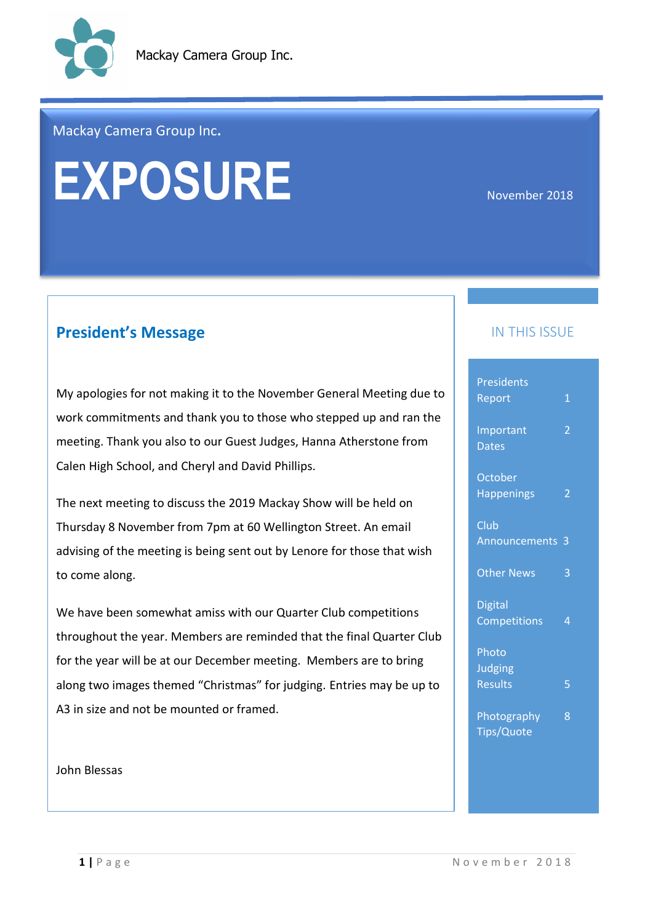

#### Mackay Camera Group Inc**.**

# EXPOSURE<br> **EXPOSURE**

## **President's Message IN THIS ISSUE**

My apologies for not making it to the November General Meeting due to work commitments and thank you to those who stepped up and ran the meeting. Thank you also to our Guest Judges, Hanna Atherstone from Calen High School, and Cheryl and David Phillips.

The next meeting to discuss the 2019 Mackay Show will be held on Thursday 8 November from 7pm at 60 Wellington Street. An email advising of the meeting is being sent out by Lenore for those that wish to come along.

We have been somewhat amiss with our Quarter Club competitions throughout the year. Members are reminded that the final Quarter Club for the year will be at our December meeting. Members are to bring along two images themed "Christmas" for judging. Entries may be up to A3 in size and not be mounted or framed.

#### John Blessas

| Presidents<br>Report           | $\mathbf{1}$   |
|--------------------------------|----------------|
| Important<br><b>Dates</b>      | 2              |
| October<br><b>Happenings</b>   | 2              |
| Club<br><b>Announcements</b>   | 3              |
| <b>Other News</b>              | 3              |
| <b>Digital</b><br>Competitions | $\overline{4}$ |
| Photo<br><b>Judging</b>        |                |
| <b>Results</b>                 | 5              |
| Photography<br>Tips/Quote      | 8              |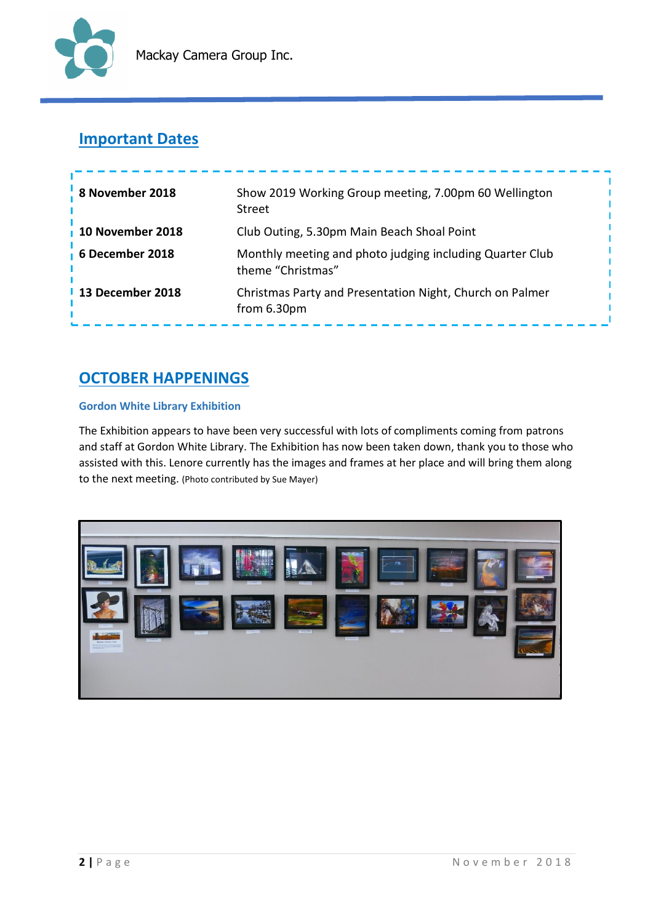

## **Important Dates**

| 8 November 2018  | Show 2019 Working Group meeting, 7.00pm 60 Wellington<br><b>Street</b>        |
|------------------|-------------------------------------------------------------------------------|
| 10 November 2018 | Club Outing, 5.30pm Main Beach Shoal Point                                    |
| 6 December 2018  | Monthly meeting and photo judging including Quarter Club<br>theme "Christmas" |
| 13 December 2018 | Christmas Party and Presentation Night, Church on Palmer<br>from 6.30pm       |

## **OCTOBER HAPPENINGS**

#### **Gordon White Library Exhibition**

The Exhibition appears to have been very successful with lots of compliments coming from patrons and staff at Gordon White Library. The Exhibition has now been taken down, thank you to those who assisted with this. Lenore currently has the images and frames at her place and will bring them along to the next meeting. (Photo contributed by Sue Mayer)

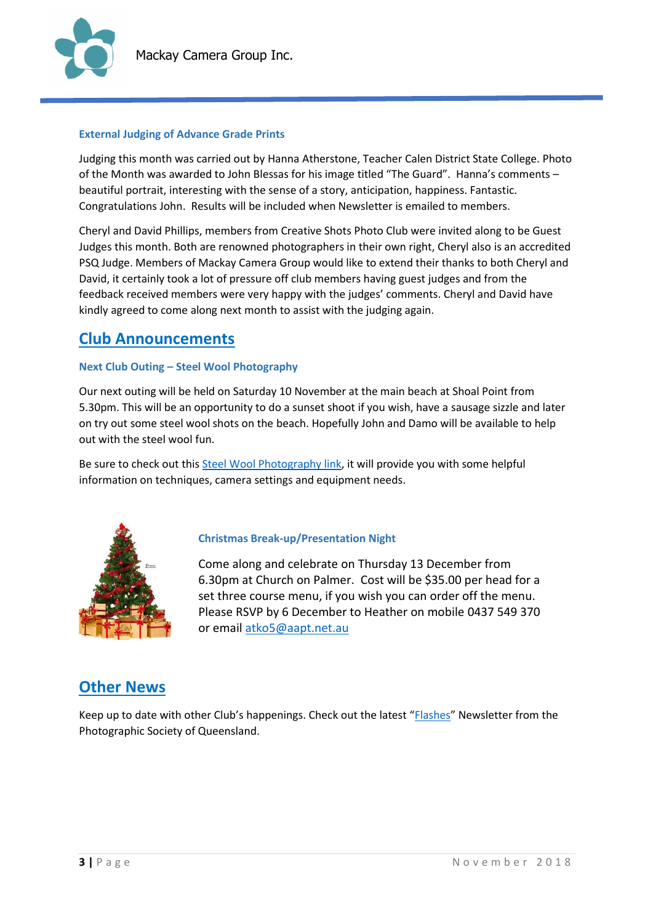

#### **External Judging of Advance Grade Prints**

Judging this month was carried out by Hanna Atherstone, Teacher Calen District State College. Photo of the Month was awarded to John Blessas for his image titled "The Guard". Hanna's comments – beautiful portrait, interesting with the sense of a story, anticipation, happiness. Fantastic. Congratulations John. Results will be included when Newsletter is emailed to members.

Cheryl and David Phillips, members from Creative Shots Photo Club were invited along to be Guest Judges this month. Both are renowned photographers in their own right, Cheryl also is an accredited PSQ Judge. Members of Mackay Camera Group would like to extend their thanks to both Cheryl and David, it certainly took a lot of pressure off club members having guest judges and from the feedback received members were very happy with the judges' comments. Cheryl and David have kindly agreed to come along next month to assist with the judging again.

## **Club Announcements**

#### **Next Club Outing – Steel Wool Photography**

Our next outing will be held on Saturday 10 November at the main beach at Shoal Point from 5.30pm. This will be an opportunity to do a sunset shoot if you wish, have a sausage sizzle and later on try out some steel wool shots on the beach. Hopefully John and Damo will be available to help out with the steel wool fun.

Be sure to check out thi[s Steel Wool Photography link,](https://expertphotography.com/steel-wool-photography/) it will provide you with some helpful information on techniques, camera settings and equipment needs.



#### **Christmas Break-up/Presentation Night**

Come along and celebrate on Thursday 13 December from 6.30pm at Church on Palmer. Cost will be \$35.00 per head for a set three course menu, if you wish you can order off the menu. Please RSVP by 6 December to Heather on mobile 0437 549 370 or emai[l atko5@aapt.net.au](mailto:atko5@aapt.net.au)

## **Other News**

Keep up to date with other Club's happenings. Check out the latest "[Flashes](http://www.psq.org.au/uploads/9/2/9/2/92924276/2018_july_flashes_newsletter.pdf)" Newsletter from the Photographic Society of Queensland.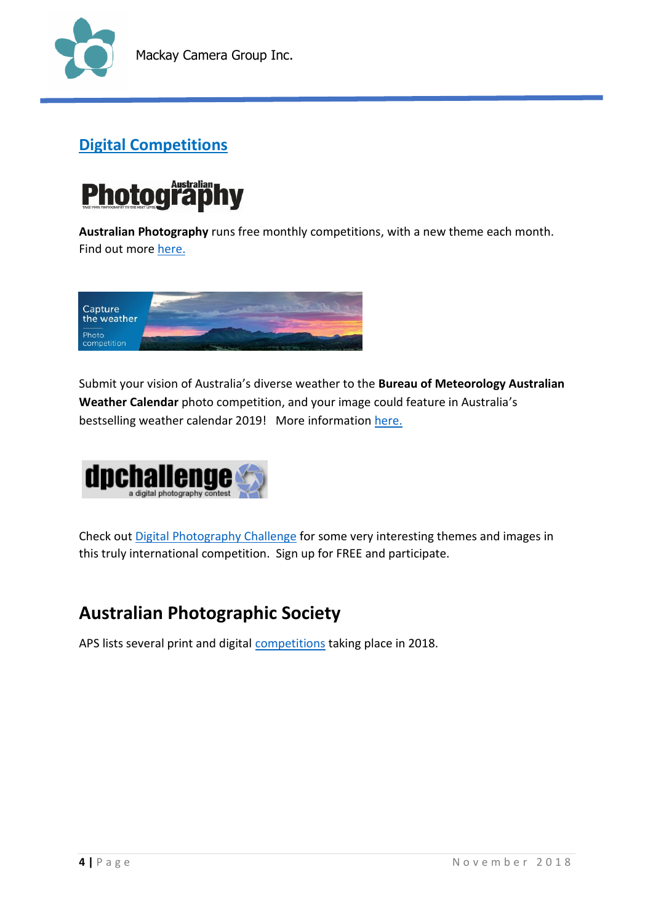

## **Digital Competitions**



**Australian Photography** runs free monthly competitions, with a new theme each month. Find out mor[e here.](http://www.australianphotography.com/yafphotocompetition/free-monthly-competition)



Submit your vision of Australia's diverse weather to the **Bureau of Meteorology Australian Weather Calendar** photo competition, and your image could feature in Australia's bestselling weather calendar 2019! More information [here.](http://www.bom.gov.au/calendar/contest/)



Check out [Digital Photography Challenge](http://www.dpchallenge.com/) for some very interesting themes and images in this truly international competition. Sign up for FREE and participate.

## **Australian Photographic Society**

APS lists several print and digital [competitions](https://www.a-p-s.org.au/index.php/exhibition/comps) taking place in 2018.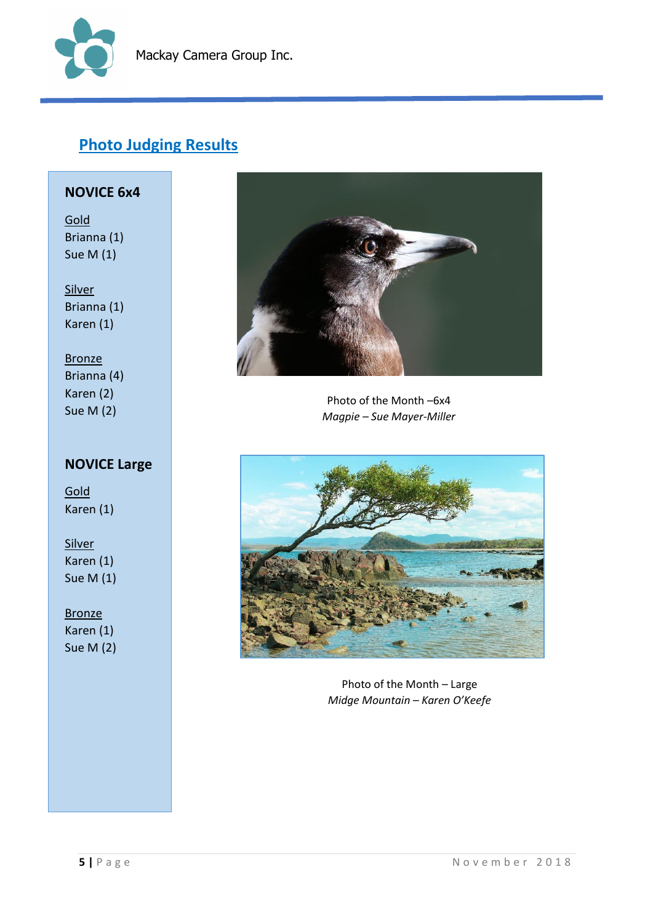

## **Photo Judging Results**

#### **NOVICE 6x4**

Gold Brianna (1) Sue M (1)

Silver Brianna (1) Karen (1)

**Bronze** Brianna (4) Karen (2) Sue M (2)

## **NOVICE Large**

**Gold** Karen (1)

**Silver** Karen (1) Sue M (1)

#### **Bronze**

Karen (1) Sue M (2)



Photo of the Month –6x4 *Magpie – Sue Mayer-Miller*



Photo of the Month – Large *Midge Mountain – Karen O'Keefe*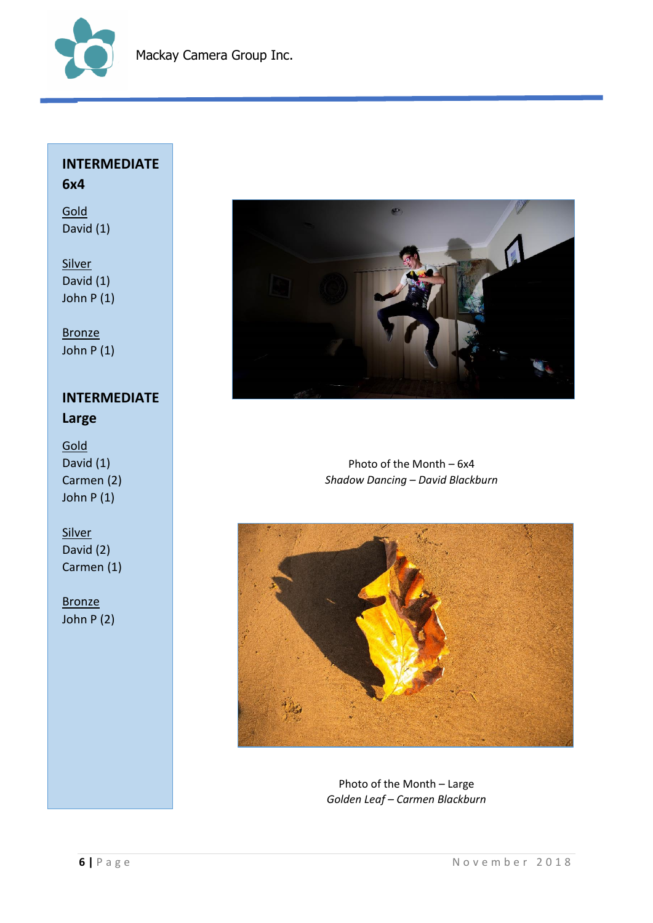

## **INTERMEDIATE 6x4**

Gold David (1)

**Silver** David (1) John P (1)

**Bronze** John P (1)

## **INTERMEDIATE Large**

**Gold** David (1) Carmen (2) John P (1)

#### **Silver** David (2) Carmen (1)

**Bronze** John P (2)



Photo of the Month – 6x4 *Shadow Dancing – David Blackburn*



Photo of the Month – Large *Golden Leaf – Carmen Blackburn*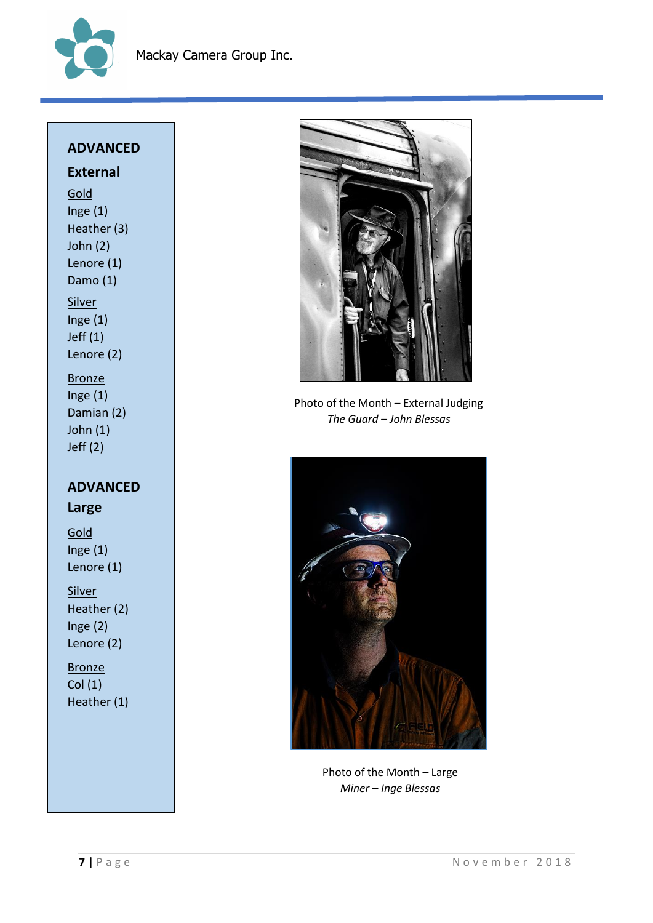

### **ADVANCED**

## **External**

**Gold** Inge (1) Heather (3) John (2) Lenore (1) Damo (1) **Silver** Inge (1) Jeff (1) Lenore (2)

Bronze Inge (1) Damian (2) John (1) Jeff (2)

## **ADVANCED Large**

**Gold** Inge $(1)$ Lenore (1)

**Silver** Heather (2) Inge (2) Lenore (2)

**Bronze** Col (1) Heather (1)



Photo of the Month – External Judging *The Guard – John Blessas*



Photo of the Month – Large *Miner – Inge Blessas*